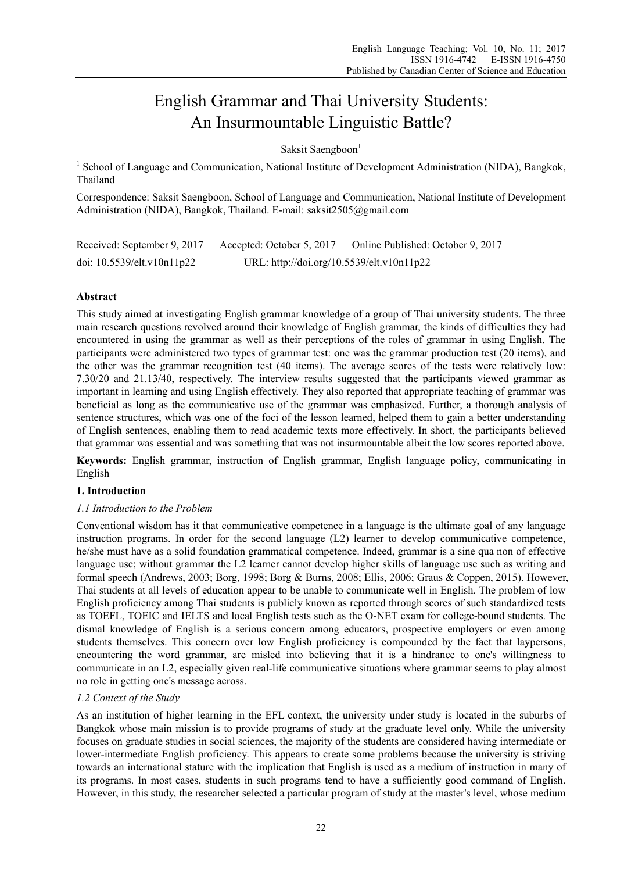# English Grammar and Thai University Students: An Insurmountable Linguistic Battle?

# Saksit Saengboon<sup>1</sup>

<sup>1</sup> School of Language and Communication, National Institute of Development Administration (NIDA), Bangkok, Thailand

Correspondence: Saksit Saengboon, School of Language and Communication, National Institute of Development Administration (NIDA), Bangkok, Thailand. E-mail: saksit2505@gmail.com

| Received: September 9, 2017      | Accepted: October 5, 2017                 | Online Published: October 9, 2017 |
|----------------------------------|-------------------------------------------|-----------------------------------|
| doi: $10.5539$ /elt.v $10n11p22$ | URL: http://doi.org/10.5539/elt.v10n11p22 |                                   |

### **Abstract**

This study aimed at investigating English grammar knowledge of a group of Thai university students. The three main research questions revolved around their knowledge of English grammar, the kinds of difficulties they had encountered in using the grammar as well as their perceptions of the roles of grammar in using English. The participants were administered two types of grammar test: one was the grammar production test (20 items), and the other was the grammar recognition test (40 items). The average scores of the tests were relatively low: 7.30/20 and 21.13/40, respectively. The interview results suggested that the participants viewed grammar as important in learning and using English effectively. They also reported that appropriate teaching of grammar was beneficial as long as the communicative use of the grammar was emphasized. Further, a thorough analysis of sentence structures, which was one of the foci of the lesson learned, helped them to gain a better understanding of English sentences, enabling them to read academic texts more effectively. In short, the participants believed that grammar was essential and was something that was not insurmountable albeit the low scores reported above.

**Keywords:** English grammar, instruction of English grammar, English language policy, communicating in English

#### **1. Introduction**

#### *1.1 Introduction to the Problem*

Conventional wisdom has it that communicative competence in a language is the ultimate goal of any language instruction programs. In order for the second language (L2) learner to develop communicative competence, he/she must have as a solid foundation grammatical competence. Indeed, grammar is a sine qua non of effective language use; without grammar the L2 learner cannot develop higher skills of language use such as writing and formal speech (Andrews, 2003; Borg, 1998; Borg & Burns, 2008; Ellis, 2006; Graus & Coppen, 2015). However, Thai students at all levels of education appear to be unable to communicate well in English. The problem of low English proficiency among Thai students is publicly known as reported through scores of such standardized tests as TOEFL, TOEIC and IELTS and local English tests such as the O-NET exam for college-bound students. The dismal knowledge of English is a serious concern among educators, prospective employers or even among students themselves. This concern over low English proficiency is compounded by the fact that laypersons, encountering the word grammar, are misled into believing that it is a hindrance to one's willingness to communicate in an L2, especially given real-life communicative situations where grammar seems to play almost no role in getting one's message across.

#### *1.2 Context of the Study*

As an institution of higher learning in the EFL context, the university under study is located in the suburbs of Bangkok whose main mission is to provide programs of study at the graduate level only. While the university focuses on graduate studies in social sciences, the majority of the students are considered having intermediate or lower-intermediate English proficiency. This appears to create some problems because the university is striving towards an international stature with the implication that English is used as a medium of instruction in many of its programs. In most cases, students in such programs tend to have a sufficiently good command of English. However, in this study, the researcher selected a particular program of study at the master's level, whose medium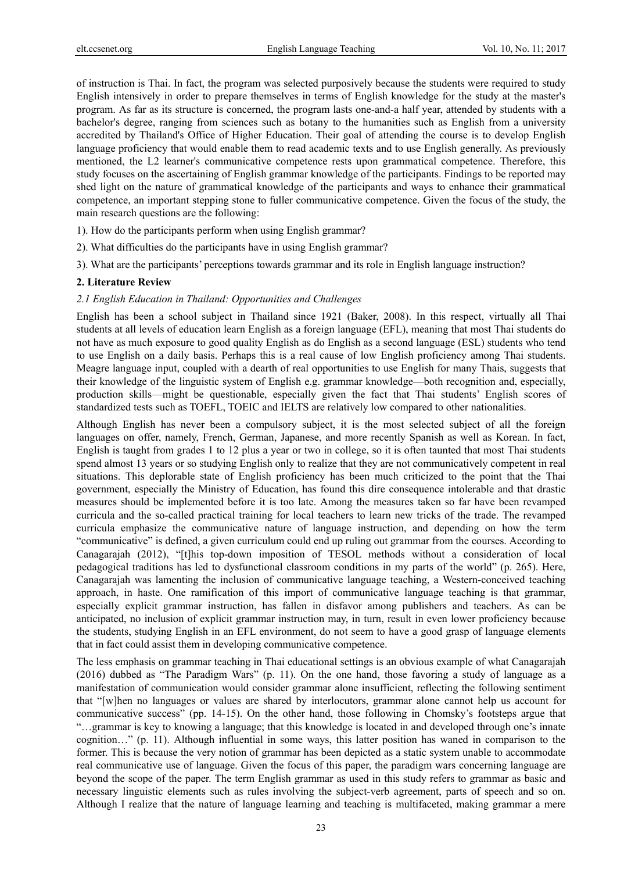of instruction is Thai. In fact, the program was selected purposively because the students were required to study English intensively in order to prepare themselves in terms of English knowledge for the study at the master's program. As far as its structure is concerned, the program lasts one-and-a half year, attended by students with a bachelor's degree, ranging from sciences such as botany to the humanities such as English from a university accredited by Thailand's Office of Higher Education. Their goal of attending the course is to develop English language proficiency that would enable them to read academic texts and to use English generally. As previously mentioned, the L2 learner's communicative competence rests upon grammatical competence. Therefore, this study focuses on the ascertaining of English grammar knowledge of the participants. Findings to be reported may shed light on the nature of grammatical knowledge of the participants and ways to enhance their grammatical competence, an important stepping stone to fuller communicative competence. Given the focus of the study, the main research questions are the following:

- 1). How do the participants perform when using English grammar?
- 2). What difficulties do the participants have in using English grammar?
- 3). What are the participants' perceptions towards grammar and its role in English language instruction?

#### **2. Literature Review**

#### *2.1 English Education in Thailand: Opportunities and Challenges*

English has been a school subject in Thailand since 1921 (Baker, 2008). In this respect, virtually all Thai students at all levels of education learn English as a foreign language (EFL), meaning that most Thai students do not have as much exposure to good quality English as do English as a second language (ESL) students who tend to use English on a daily basis. Perhaps this is a real cause of low English proficiency among Thai students. Meagre language input, coupled with a dearth of real opportunities to use English for many Thais, suggests that their knowledge of the linguistic system of English e.g. grammar knowledge—both recognition and, especially, production skills—might be questionable, especially given the fact that Thai students' English scores of standardized tests such as TOEFL, TOEIC and IELTS are relatively low compared to other nationalities.

Although English has never been a compulsory subject, it is the most selected subject of all the foreign languages on offer, namely, French, German, Japanese, and more recently Spanish as well as Korean. In fact, English is taught from grades 1 to 12 plus a year or two in college, so it is often taunted that most Thai students spend almost 13 years or so studying English only to realize that they are not communicatively competent in real situations. This deplorable state of English proficiency has been much criticized to the point that the Thai government, especially the Ministry of Education, has found this dire consequence intolerable and that drastic measures should be implemented before it is too late. Among the measures taken so far have been revamped curricula and the so-called practical training for local teachers to learn new tricks of the trade. The revamped curricula emphasize the communicative nature of language instruction, and depending on how the term "communicative" is defined, a given curriculum could end up ruling out grammar from the courses. According to Canagarajah (2012), "[t]his top-down imposition of TESOL methods without a consideration of local pedagogical traditions has led to dysfunctional classroom conditions in my parts of the world" (p. 265). Here, Canagarajah was lamenting the inclusion of communicative language teaching, a Western-conceived teaching approach, in haste. One ramification of this import of communicative language teaching is that grammar, especially explicit grammar instruction, has fallen in disfavor among publishers and teachers. As can be anticipated, no inclusion of explicit grammar instruction may, in turn, result in even lower proficiency because the students, studying English in an EFL environment, do not seem to have a good grasp of language elements that in fact could assist them in developing communicative competence.

The less emphasis on grammar teaching in Thai educational settings is an obvious example of what Canagarajah (2016) dubbed as "The Paradigm Wars" (p. 11). On the one hand, those favoring a study of language as a manifestation of communication would consider grammar alone insufficient, reflecting the following sentiment that "[w]hen no languages or values are shared by interlocutors, grammar alone cannot help us account for communicative success" (pp. 14-15). On the other hand, those following in Chomsky's footsteps argue that "…grammar is key to knowing a language; that this knowledge is located in and developed through one's innate cognition…" (p. 11). Although influential in some ways, this latter position has waned in comparison to the former. This is because the very notion of grammar has been depicted as a static system unable to accommodate real communicative use of language. Given the focus of this paper, the paradigm wars concerning language are beyond the scope of the paper. The term English grammar as used in this study refers to grammar as basic and necessary linguistic elements such as rules involving the subject-verb agreement, parts of speech and so on. Although I realize that the nature of language learning and teaching is multifaceted, making grammar a mere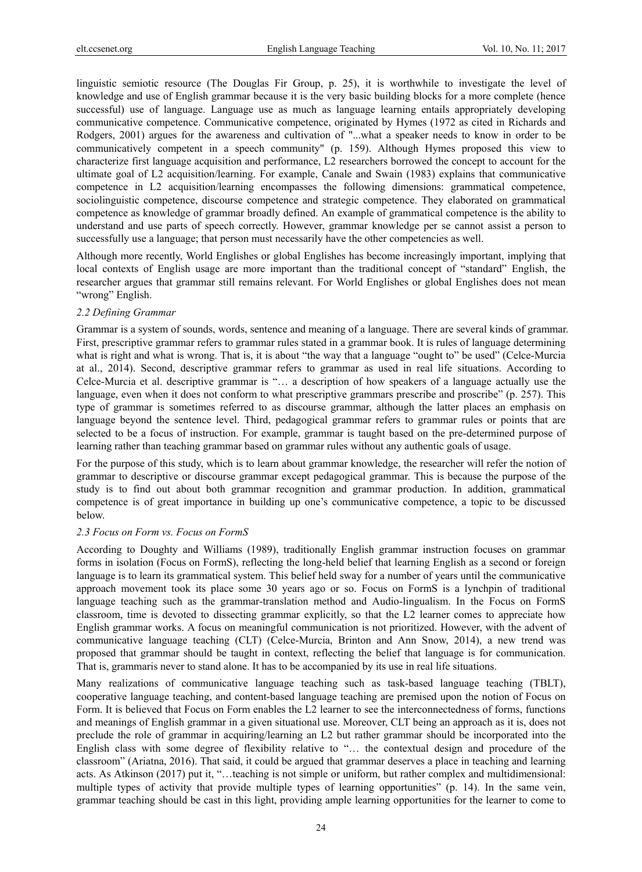linguistic semiotic resource (The Douglas Fir Group, p. 25), it is worthwhile to investigate the level of knowledge and use of English grammar because it is the very basic building blocks for a more complete (hence successful) use of language. Language use as much as language learning entails appropriately developing communicative competence. Communicative competence, originated by Hymes (1972 as cited in Richards and Rodgers, 2001) argues for the awareness and cultivation of "...what a speaker needs to know in order to be communicatively competent in a speech community" (p. 159). Although Hymes proposed this view to characterize first language acquisition and performance, L2 researchers borrowed the concept to account for the ultimate goal of L2 acquisition/learning. For example, Canale and Swain (1983) explains that communicative competence in L2 acquisition/learning encompasses the following dimensions: grammatical competence, sociolinguistic competence, discourse competence and strategic competence. They elaborated on grammatical competence as knowledge of grammar broadly defined. An example of grammatical competence is the ability to understand and use parts of speech correctly. However, grammar knowledge per se cannot assist a person to successfully use a language; that person must necessarily have the other competencies as well.

Although more recently, World Englishes or global Englishes has become increasingly important, implying that local contexts of English usage are more important than the traditional concept of "standard" English, the researcher argues that grammar still remains relevant. For World Englishes or global Englishes does not mean "wrong" English.

### *2.2 Defining Grammar*

Grammar is a system of sounds, words, sentence and meaning of a language. There are several kinds of grammar. First, prescriptive grammar refers to grammar rules stated in a grammar book. It is rules of language determining what is right and what is wrong. That is, it is about "the way that a language "ought to" be used" (Celce-Murcia at al., 2014). Second, descriptive grammar refers to grammar as used in real life situations. According to Celce-Murcia et al. descriptive grammar is "… a description of how speakers of a language actually use the language, even when it does not conform to what prescriptive grammars prescribe and proscribe" (p. 257). This type of grammar is sometimes referred to as discourse grammar, although the latter places an emphasis on language beyond the sentence level. Third, pedagogical grammar refers to grammar rules or points that are selected to be a focus of instruction. For example, grammar is taught based on the pre-determined purpose of learning rather than teaching grammar based on grammar rules without any authentic goals of usage.

For the purpose of this study, which is to learn about grammar knowledge, the researcher will refer the notion of grammar to descriptive or discourse grammar except pedagogical grammar. This is because the purpose of the study is to find out about both grammar recognition and grammar production. In addition, grammatical competence is of great importance in building up one's communicative competence, a topic to be discussed below.

# *2.3 Focus on Form vs. Focus on FormS*

According to Doughty and Williams (1989), traditionally English grammar instruction focuses on grammar forms in isolation (Focus on FormS), reflecting the long-held belief that learning English as a second or foreign language is to learn its grammatical system. This belief held sway for a number of years until the communicative approach movement took its place some 30 years ago or so. Focus on FormS is a lynchpin of traditional language teaching such as the grammar-translation method and Audio-lingualism. In the Focus on FormS classroom, time is devoted to dissecting grammar explicitly, so that the L2 learner comes to appreciate how English grammar works. A focus on meaningful communication is not prioritized. However, with the advent of communicative language teaching (CLT) (Celce-Murcia, Brinton and Ann Snow, 2014), a new trend was proposed that grammar should be taught in context, reflecting the belief that language is for communication. That is, grammaris never to stand alone. It has to be accompanied by its use in real life situations.

Many realizations of communicative language teaching such as task-based language teaching (TBLT), cooperative language teaching, and content-based language teaching are premised upon the notion of Focus on Form. It is believed that Focus on Form enables the L2 learner to see the interconnectedness of forms, functions and meanings of English grammar in a given situational use. Moreover, CLT being an approach as it is, does not preclude the role of grammar in acquiring/learning an L2 but rather grammar should be incorporated into the English class with some degree of flexibility relative to "… the contextual design and procedure of the classroom" (Ariatna, 2016). That said, it could be argued that grammar deserves a place in teaching and learning acts. As Atkinson (2017) put it, "…teaching is not simple or uniform, but rather complex and multidimensional: multiple types of activity that provide multiple types of learning opportunities" (p. 14). In the same vein, grammar teaching should be cast in this light, providing ample learning opportunities for the learner to come to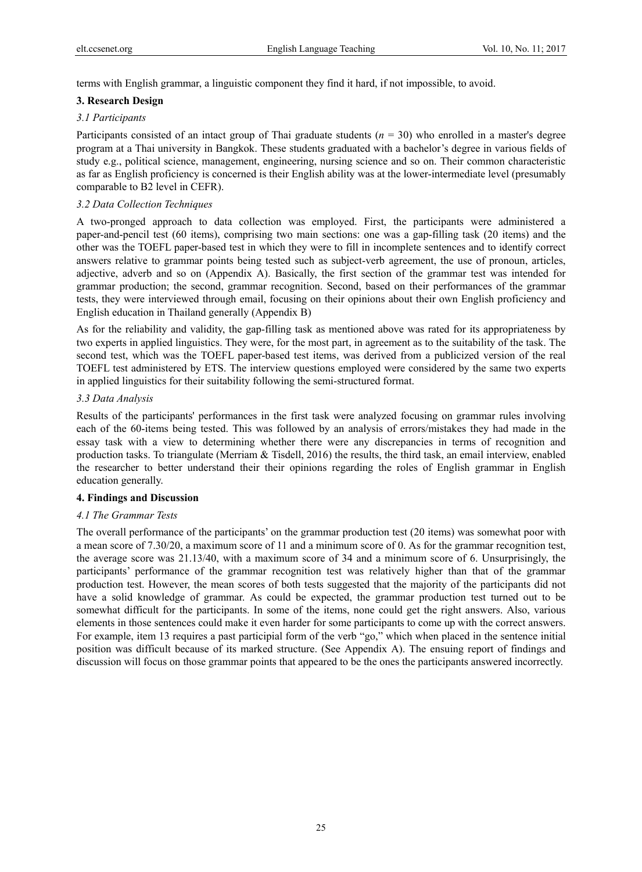terms with English grammar, a linguistic component they find it hard, if not impossible, to avoid.

# **3. Research Design**

### *3.1 Participants*

Participants consisted of an intact group of Thai graduate students (*n* = 30) who enrolled in a master's degree program at a Thai university in Bangkok. These students graduated with a bachelor's degree in various fields of study e.g., political science, management, engineering, nursing science and so on. Their common characteristic as far as English proficiency is concerned is their English ability was at the lower-intermediate level (presumably comparable to B2 level in CEFR).

### *3.2 Data Collection Techniques*

A two-pronged approach to data collection was employed. First, the participants were administered a paper-and-pencil test (60 items), comprising two main sections: one was a gap-filling task (20 items) and the other was the TOEFL paper-based test in which they were to fill in incomplete sentences and to identify correct answers relative to grammar points being tested such as subject-verb agreement, the use of pronoun, articles, adjective, adverb and so on (Appendix A). Basically, the first section of the grammar test was intended for grammar production; the second, grammar recognition. Second, based on their performances of the grammar tests, they were interviewed through email, focusing on their opinions about their own English proficiency and English education in Thailand generally (Appendix B)

As for the reliability and validity, the gap-filling task as mentioned above was rated for its appropriateness by two experts in applied linguistics. They were, for the most part, in agreement as to the suitability of the task. The second test, which was the TOEFL paper-based test items, was derived from a publicized version of the real TOEFL test administered by ETS. The interview questions employed were considered by the same two experts in applied linguistics for their suitability following the semi-structured format.

## *3.3 Data Analysis*

Results of the participants' performances in the first task were analyzed focusing on grammar rules involving each of the 60-items being tested. This was followed by an analysis of errors/mistakes they had made in the essay task with a view to determining whether there were any discrepancies in terms of recognition and production tasks. To triangulate (Merriam & Tisdell, 2016) the results, the third task, an email interview, enabled the researcher to better understand their their opinions regarding the roles of English grammar in English education generally.

# **4. Findings and Discussion**

# *4.1 The Grammar Tests*

The overall performance of the participants' on the grammar production test (20 items) was somewhat poor with a mean score of 7.30/20, a maximum score of 11 and a minimum score of 0. As for the grammar recognition test, the average score was 21.13/40, with a maximum score of 34 and a minimum score of 6. Unsurprisingly, the participants' performance of the grammar recognition test was relatively higher than that of the grammar production test. However, the mean scores of both tests suggested that the majority of the participants did not have a solid knowledge of grammar. As could be expected, the grammar production test turned out to be somewhat difficult for the participants. In some of the items, none could get the right answers. Also, various elements in those sentences could make it even harder for some participants to come up with the correct answers. For example, item 13 requires a past participial form of the verb "go," which when placed in the sentence initial position was difficult because of its marked structure. (See Appendix A). The ensuing report of findings and discussion will focus on those grammar points that appeared to be the ones the participants answered incorrectly.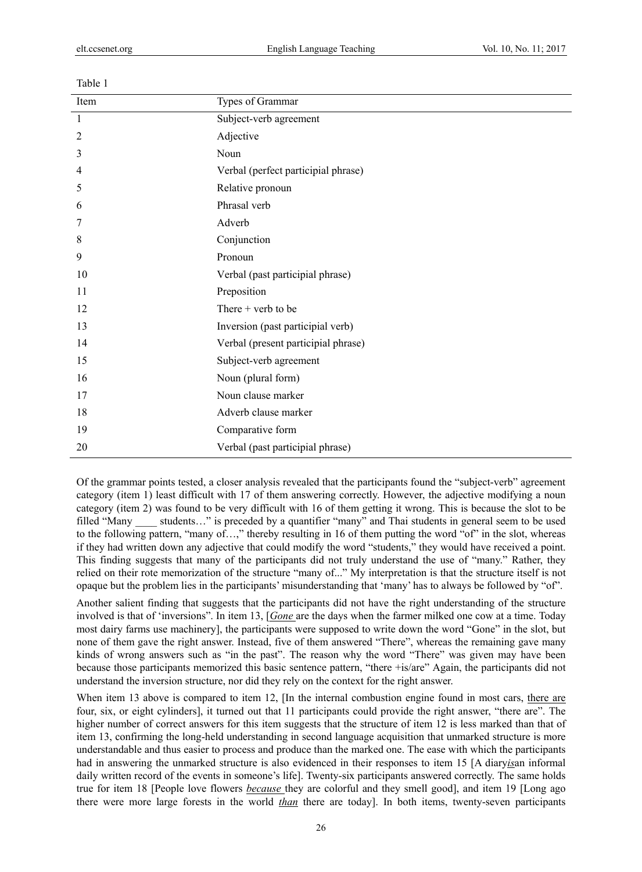Table 1

| Item           | Types of Grammar                    |
|----------------|-------------------------------------|
| $\mathbf{1}$   | Subject-verb agreement              |
| $\overline{2}$ | Adjective                           |
| 3              | Noun                                |
| 4              | Verbal (perfect participial phrase) |
| 5              | Relative pronoun                    |
| 6              | Phrasal verb                        |
| 7              | Adverb                              |
| 8              | Conjunction                         |
| 9              | Pronoun                             |
| 10             | Verbal (past participial phrase)    |
| 11             | Preposition                         |
| 12             | There $+$ verb to be                |
| 13             | Inversion (past participial verb)   |
| 14             | Verbal (present participial phrase) |
| 15             | Subject-verb agreement              |
| 16             | Noun (plural form)                  |
| 17             | Noun clause marker                  |
| 18             | Adverb clause marker                |
| 19             | Comparative form                    |
| 20             | Verbal (past participial phrase)    |

Of the grammar points tested, a closer analysis revealed that the participants found the "subject-verb" agreement category (item 1) least difficult with 17 of them answering correctly. However, the adjective modifying a noun category (item 2) was found to be very difficult with 16 of them getting it wrong. This is because the slot to be filled "Many students..." is preceded by a quantifier "many" and Thai students in general seem to be used to the following pattern, "many of...," thereby resulting in 16 of them putting the word "of" in the slot, whereas if they had written down any adjective that could modify the word "students," they would have received a point. This finding suggests that many of the participants did not truly understand the use of "many." Rather, they relied on their rote memorization of the structure "many of..." My interpretation is that the structure itself is not opaque but the problem lies in the participants' misunderstanding that 'many' has to always be followed by "of". Another salient finding that suggests that the participants did not have the right understanding of the structure

involved is that of 'inversions". In item 13, [*Gone* are the days when the farmer milked one cow at a time. Today most dairy farms use machinery], the participants were supposed to write down the word "Gone" in the slot, but none of them gave the right answer. Instead, five of them answered "There", whereas the remaining gave many kinds of wrong answers such as "in the past". The reason why the word "There" was given may have been because those participants memorized this basic sentence pattern, "there +is/are" Again, the participants did not understand the inversion structure, nor did they rely on the context for the right answer.

When item 13 above is compared to item 12, [In the internal combustion engine found in most cars, there are four, six, or eight cylinders], it turned out that 11 participants could provide the right answer, "there are". The higher number of correct answers for this item suggests that the structure of item 12 is less marked than that of item 13, confirming the long-held understanding in second language acquisition that unmarked structure is more understandable and thus easier to process and produce than the marked one. The ease with which the participants had in answering the unmarked structure is also evidenced in their responses to item 15 [A diary*is*an informal daily written record of the events in someone's life]. Twenty-six participants answered correctly. The same holds true for item 18 [People love flowers *because* they are colorful and they smell good], and item 19 [Long ago there were more large forests in the world *than* there are today]. In both items, twenty-seven participants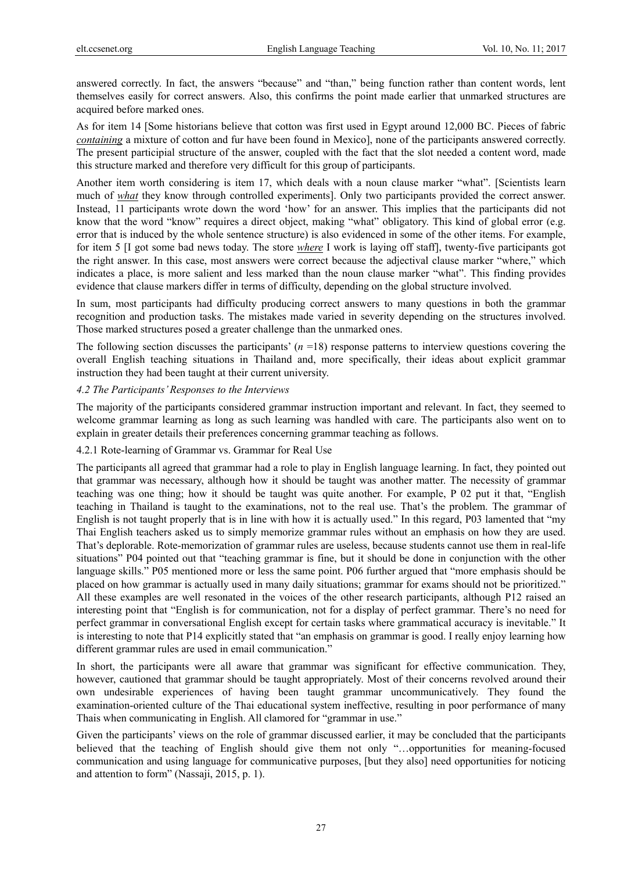answered correctly. In fact, the answers "because" and "than," being function rather than content words, lent themselves easily for correct answers. Also, this confirms the point made earlier that unmarked structures are acquired before marked ones.

As for item 14 [Some historians believe that cotton was first used in Egypt around 12,000 BC. Pieces of fabric *containing* a mixture of cotton and fur have been found in Mexico], none of the participants answered correctly. The present participial structure of the answer, coupled with the fact that the slot needed a content word, made this structure marked and therefore very difficult for this group of participants.

Another item worth considering is item 17, which deals with a noun clause marker "what". [Scientists learn much of *what* they know through controlled experiments]. Only two participants provided the correct answer. Instead, 11 participants wrote down the word 'how' for an answer. This implies that the participants did not know that the word "know" requires a direct object, making "what" obligatory. This kind of global error (e.g. error that is induced by the whole sentence structure) is also evidenced in some of the other items. For example, for item 5 [I got some bad news today. The store *where* I work is laying off staff], twenty-five participants got the right answer. In this case, most answers were correct because the adjectival clause marker "where," which indicates a place, is more salient and less marked than the noun clause marker "what". This finding provides evidence that clause markers differ in terms of difficulty, depending on the global structure involved.

In sum, most participants had difficulty producing correct answers to many questions in both the grammar recognition and production tasks. The mistakes made varied in severity depending on the structures involved. Those marked structures posed a greater challenge than the unmarked ones.

The following section discusses the participants'  $(n = 18)$  response patterns to interview questions covering the overall English teaching situations in Thailand and, more specifically, their ideas about explicit grammar instruction they had been taught at their current university.

### *4.2 The Participants' Responses to the Interviews*

The majority of the participants considered grammar instruction important and relevant. In fact, they seemed to welcome grammar learning as long as such learning was handled with care. The participants also went on to explain in greater details their preferences concerning grammar teaching as follows.

# 4.2.1 Rote-learning of Grammar vs. Grammar for Real Use

The participants all agreed that grammar had a role to play in English language learning. In fact, they pointed out that grammar was necessary, although how it should be taught was another matter. The necessity of grammar teaching was one thing; how it should be taught was quite another. For example, P 02 put it that, "English teaching in Thailand is taught to the examinations, not to the real use. That's the problem. The grammar of English is not taught properly that is in line with how it is actually used." In this regard, P03 lamented that "my Thai English teachers asked us to simply memorize grammar rules without an emphasis on how they are used. That's deplorable. Rote-memorization of grammar rules are useless, because students cannot use them in real-life situations" P04 pointed out that "teaching grammar is fine, but it should be done in conjunction with the other language skills." P05 mentioned more or less the same point. P06 further argued that "more emphasis should be placed on how grammar is actually used in many daily situations; grammar for exams should not be prioritized." All these examples are well resonated in the voices of the other research participants, although P12 raised an interesting point that "English is for communication, not for a display of perfect grammar. There's no need for perfect grammar in conversational English except for certain tasks where grammatical accuracy is inevitable." It is interesting to note that P14 explicitly stated that "an emphasis on grammar is good. I really enjoy learning how different grammar rules are used in email communication."

In short, the participants were all aware that grammar was significant for effective communication. They, however, cautioned that grammar should be taught appropriately. Most of their concerns revolved around their own undesirable experiences of having been taught grammar uncommunicatively. They found the examination-oriented culture of the Thai educational system ineffective, resulting in poor performance of many Thais when communicating in English. All clamored for "grammar in use."

Given the participants' views on the role of grammar discussed earlier, it may be concluded that the participants believed that the teaching of English should give them not only "...opportunities for meaning-focused communication and using language for communicative purposes, [but they also] need opportunities for noticing and attention to form" (Nassaji, 2015, p. 1).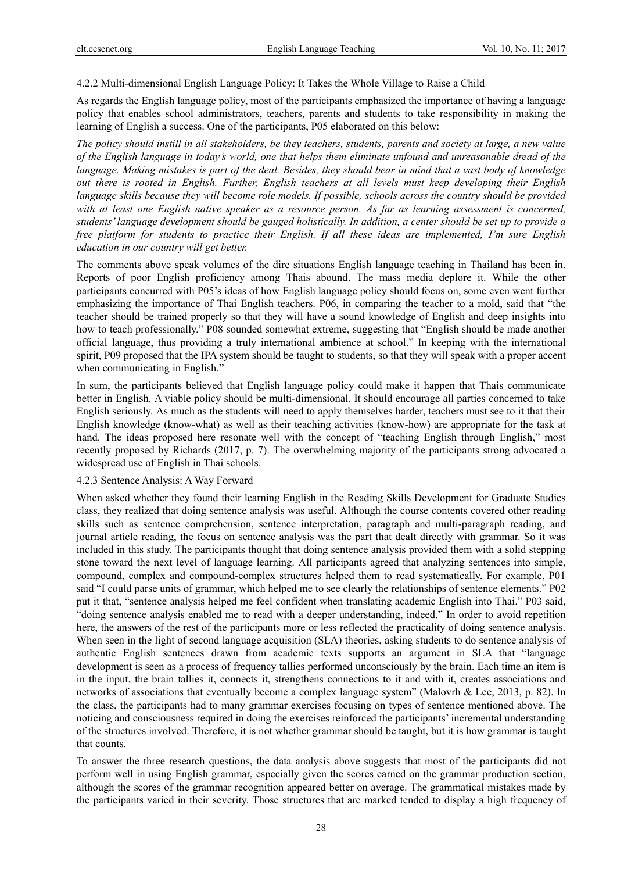#### 4.2.2 Multi-dimensional English Language Policy: It Takes the Whole Village to Raise a Child

As regards the English language policy, most of the participants emphasized the importance of having a language policy that enables school administrators, teachers, parents and students to take responsibility in making the learning of English a success. One of the participants, P05 elaborated on this below:

*The policy should instill in all stakeholders, be they teachers, students, parents and society at large, a new value of the English language in today's world, one that helps them eliminate unfound and unreasonable dread of the language. Making mistakes is part of the deal. Besides, they should bear in mind that a vast body of knowledge out there is rooted in English. Further, English teachers at all levels must keep developing their English language skills because they will become role models. If possible, schools across the country should be provided with at least one English native speaker as a resource person. As far as learning assessment is concerned, students' language development should be gauged holistically. In addition, a center should be set up to provide a free platform for students to practice their English. If all these ideas are implemented, I'm sure English education in our country will get better.* 

The comments above speak volumes of the dire situations English language teaching in Thailand has been in. Reports of poor English proficiency among Thais abound. The mass media deplore it. While the other participants concurred with P05's ideas of how English language policy should focus on, some even went further emphasizing the importance of Thai English teachers. P06, in comparing the teacher to a mold, said that "the teacher should be trained properly so that they will have a sound knowledge of English and deep insights into how to teach professionally." P08 sounded somewhat extreme, suggesting that "English should be made another official language, thus providing a truly international ambience at school." In keeping with the international spirit, P09 proposed that the IPA system should be taught to students, so that they will speak with a proper accent when communicating in English."

In sum, the participants believed that English language policy could make it happen that Thais communicate better in English. A viable policy should be multi-dimensional. It should encourage all parties concerned to take English seriously. As much as the students will need to apply themselves harder, teachers must see to it that their English knowledge (know-what) as well as their teaching activities (know-how) are appropriate for the task at hand. The ideas proposed here resonate well with the concept of "teaching English through English," most recently proposed by Richards (2017, p. 7). The overwhelming majority of the participants strong advocated a widespread use of English in Thai schools.

#### 4.2.3 Sentence Analysis: A Way Forward

When asked whether they found their learning English in the Reading Skills Development for Graduate Studies class, they realized that doing sentence analysis was useful. Although the course contents covered other reading skills such as sentence comprehension, sentence interpretation, paragraph and multi-paragraph reading, and journal article reading, the focus on sentence analysis was the part that dealt directly with grammar. So it was included in this study. The participants thought that doing sentence analysis provided them with a solid stepping stone toward the next level of language learning. All participants agreed that analyzing sentences into simple, compound, complex and compound-complex structures helped them to read systematically. For example, P01 said "I could parse units of grammar, which helped me to see clearly the relationships of sentence elements." P02 put it that, "sentence analysis helped me feel confident when translating academic English into Thai." P03 said, "doing sentence analysis enabled me to read with a deeper understanding, indeed." In order to avoid repetition here, the answers of the rest of the participants more or less reflected the practicality of doing sentence analysis. When seen in the light of second language acquisition (SLA) theories, asking students to do sentence analysis of authentic English sentences drawn from academic texts supports an argument in SLA that "language development is seen as a process of frequency tallies performed unconsciously by the brain. Each time an item is in the input, the brain tallies it, connects it, strengthens connections to it and with it, creates associations and networks of associations that eventually become a complex language system" (Malovrh & Lee, 2013, p. 82). In the class, the participants had to many grammar exercises focusing on types of sentence mentioned above. The noticing and consciousness required in doing the exercises reinforced the participants' incremental understanding of the structures involved. Therefore, it is not whether grammar should be taught, but it is how grammar is taught that counts.

To answer the three research questions, the data analysis above suggests that most of the participants did not perform well in using English grammar, especially given the scores earned on the grammar production section, although the scores of the grammar recognition appeared better on average. The grammatical mistakes made by the participants varied in their severity. Those structures that are marked tended to display a high frequency of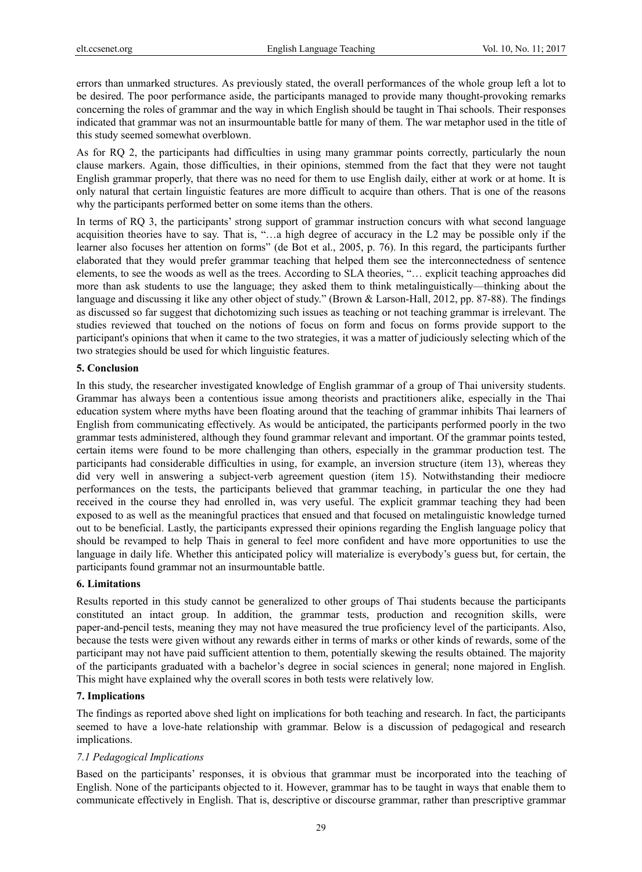errors than unmarked structures. As previously stated, the overall performances of the whole group left a lot to be desired. The poor performance aside, the participants managed to provide many thought-provoking remarks concerning the roles of grammar and the way in which English should be taught in Thai schools. Their responses indicated that grammar was not an insurmountable battle for many of them. The war metaphor used in the title of this study seemed somewhat overblown.

As for RQ 2, the participants had difficulties in using many grammar points correctly, particularly the noun clause markers. Again, those difficulties, in their opinions, stemmed from the fact that they were not taught English grammar properly, that there was no need for them to use English daily, either at work or at home. It is only natural that certain linguistic features are more difficult to acquire than others. That is one of the reasons why the participants performed better on some items than the others.

In terms of RQ 3, the participants' strong support of grammar instruction concurs with what second language acquisition theories have to say. That is, "…a high degree of accuracy in the L2 may be possible only if the learner also focuses her attention on forms" (de Bot et al., 2005, p. 76). In this regard, the participants further elaborated that they would prefer grammar teaching that helped them see the interconnectedness of sentence elements, to see the woods as well as the trees. According to SLA theories, "… explicit teaching approaches did more than ask students to use the language; they asked them to think metalinguistically—thinking about the language and discussing it like any other object of study." (Brown & Larson-Hall, 2012, pp. 87-88). The findings as discussed so far suggest that dichotomizing such issues as teaching or not teaching grammar is irrelevant. The studies reviewed that touched on the notions of focus on form and focus on forms provide support to the participant's opinions that when it came to the two strategies, it was a matter of judiciously selecting which of the two strategies should be used for which linguistic features.

# **5. Conclusion**

In this study, the researcher investigated knowledge of English grammar of a group of Thai university students. Grammar has always been a contentious issue among theorists and practitioners alike, especially in the Thai education system where myths have been floating around that the teaching of grammar inhibits Thai learners of English from communicating effectively. As would be anticipated, the participants performed poorly in the two grammar tests administered, although they found grammar relevant and important. Of the grammar points tested, certain items were found to be more challenging than others, especially in the grammar production test. The participants had considerable difficulties in using, for example, an inversion structure (item 13), whereas they did very well in answering a subject-verb agreement question (item 15). Notwithstanding their mediocre performances on the tests, the participants believed that grammar teaching, in particular the one they had received in the course they had enrolled in, was very useful. The explicit grammar teaching they had been exposed to as well as the meaningful practices that ensued and that focused on metalinguistic knowledge turned out to be beneficial. Lastly, the participants expressed their opinions regarding the English language policy that should be revamped to help Thais in general to feel more confident and have more opportunities to use the language in daily life. Whether this anticipated policy will materialize is everybody's guess but, for certain, the participants found grammar not an insurmountable battle.

# **6. Limitations**

Results reported in this study cannot be generalized to other groups of Thai students because the participants constituted an intact group. In addition, the grammar tests, production and recognition skills, were paper-and-pencil tests, meaning they may not have measured the true proficiency level of the participants. Also, because the tests were given without any rewards either in terms of marks or other kinds of rewards, some of the participant may not have paid sufficient attention to them, potentially skewing the results obtained. The majority of the participants graduated with a bachelor's degree in social sciences in general; none majored in English. This might have explained why the overall scores in both tests were relatively low.

# **7. Implications**

The findings as reported above shed light on implications for both teaching and research. In fact, the participants seemed to have a love-hate relationship with grammar. Below is a discussion of pedagogical and research implications.

# *7.1 Pedagogical Implications*

Based on the participants' responses, it is obvious that grammar must be incorporated into the teaching of English. None of the participants objected to it. However, grammar has to be taught in ways that enable them to communicate effectively in English. That is, descriptive or discourse grammar, rather than prescriptive grammar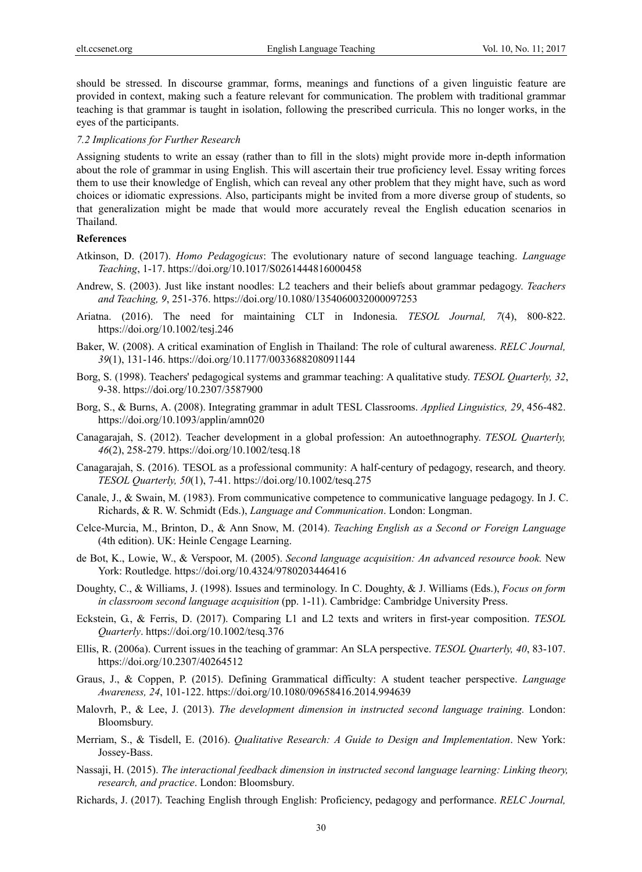should be stressed. In discourse grammar, forms, meanings and functions of a given linguistic feature are provided in context, making such a feature relevant for communication. The problem with traditional grammar teaching is that grammar is taught in isolation, following the prescribed curricula. This no longer works, in the eyes of the participants.

#### *7.2 Implications for Further Research*

Assigning students to write an essay (rather than to fill in the slots) might provide more in-depth information about the role of grammar in using English. This will ascertain their true proficiency level. Essay writing forces them to use their knowledge of English, which can reveal any other problem that they might have, such as word choices or idiomatic expressions. Also, participants might be invited from a more diverse group of students, so that generalization might be made that would more accurately reveal the English education scenarios in Thailand.

#### **References**

- Atkinson, D. (2017). *Homo Pedagogicus*: The evolutionary nature of second language teaching. *Language Teaching*, 1-17. https://doi.org/10.1017/S0261444816000458
- Andrew, S. (2003). Just like instant noodles: L2 teachers and their beliefs about grammar pedagogy. *Teachers and Teaching, 9*, 251-376. https://doi.org/10.1080/1354060032000097253
- Ariatna. (2016). The need for maintaining CLT in Indonesia. *TESOL Journal, 7*(4), 800-822. https://doi.org/10.1002/tesj.246
- Baker, W. (2008). A critical examination of English in Thailand: The role of cultural awareness. *RELC Journal, 39*(1), 131-146. https://doi.org/10.1177/0033688208091144
- Borg, S. (1998). Teachers' pedagogical systems and grammar teaching: A qualitative study. *TESOL Quarterly, 32*, 9-38. https://doi.org/10.2307/3587900
- Borg, S., & Burns, A. (2008). Integrating grammar in adult TESL Classrooms. *Applied Linguistics, 29*, 456-482. https://doi.org/10.1093/applin/amn020
- Canagarajah, S. (2012). Teacher development in a global profession: An autoethnography. *TESOL Quarterly, 46*(2), 258-279. https://doi.org/10.1002/tesq.18
- Canagarajah, S. (2016). TESOL as a professional community: A half-century of pedagogy, research, and theory. *TESOL Quarterly, 50*(1), 7-41. https://doi.org/10.1002/tesq.275
- Canale, J., & Swain, M. (1983). From communicative competence to communicative language pedagogy. In J. C. Richards, & R. W. Schmidt (Eds.), *Language and Communication*. London: Longman.
- Celce-Murcia, M., Brinton, D., & Ann Snow, M. (2014). *Teaching English as a Second or Foreign Language* (4th edition). UK: Heinle Cengage Learning.
- de Bot, K., Lowie, W., & Verspoor, M. (2005). *Second language acquisition: An advanced resource book.* New York: Routledge. https://doi.org/10.4324/9780203446416
- Doughty, C., & Williams, J. (1998). Issues and terminology. In C. Doughty, & J. Williams (Eds.), *Focus on form in classroom second language acquisition* (pp. 1-11). Cambridge: Cambridge University Press.
- Eckstein, G., & Ferris, D. (2017). Comparing L1 and L2 texts and writers in first-year composition. *TESOL Quarterly*. https://doi.org/10.1002/tesq.376
- Ellis, R. (2006a). Current issues in the teaching of grammar: An SLA perspective. *TESOL Quarterly, 40*, 83-107. https://doi.org/10.2307/40264512
- Graus, J., & Coppen, P. (2015). Defining Grammatical difficulty: A student teacher perspective. *Language Awareness, 24*, 101-122. https://doi.org/10.1080/09658416.2014.994639
- Malovrh, P., & Lee, J. (2013). *The development dimension in instructed second language training.* London: Bloomsbury.
- Merriam, S., & Tisdell, E. (2016). *Qualitative Research: A Guide to Design and Implementation*. New York: Jossey-Bass.
- Nassaji, H. (2015). *The interactional feedback dimension in instructed second language learning: Linking theory, research, and practice*. London: Bloomsbury.
- Richards, J. (2017). Teaching English through English: Proficiency, pedagogy and performance. *RELC Journal,*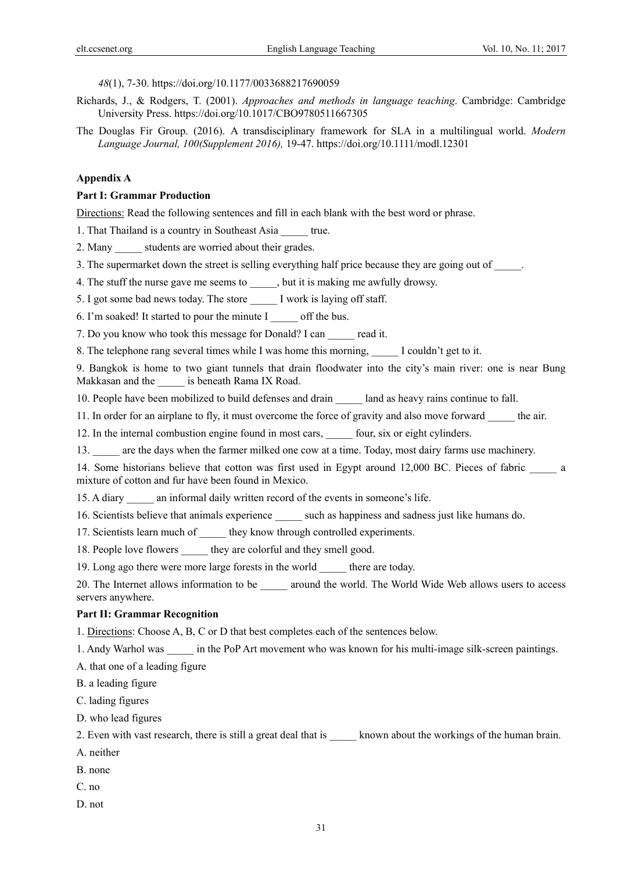*48*(1), 7-30. https://doi.org/10.1177/0033688217690059

- Richards, J., & Rodgers, T. (2001). *Approaches and methods in language teaching*. Cambridge: Cambridge University Press. https://doi.org/10.1017/CBO9780511667305
- The Douglas Fir Group. (2016). A transdisciplinary framework for SLA in a multilingual world. *Modern Language Journal, 100(Supplement 2016),* 19-47. https://doi.org/10.1111/modl.12301

#### **Appendix A**

#### **Part I: Grammar Production**

Directions: Read the following sentences and fill in each blank with the best word or phrase.

1. That Thailand is a country in Southeast Asia true.

2. Many students are worried about their grades.

3. The supermarket down the street is selling everything half price because they are going out of \_\_\_\_\_.

4. The stuff the nurse gave me seems to but it is making me awfully drowsy.

5. I got some bad news today. The store I work is laying off staff.

6. I'm soaked! It started to pour the minute I \_\_\_\_\_ off the bus.

7. Do you know who took this message for Donald? I can read it.

8. The telephone rang several times while I was home this morning, I couldn't get to it.

9. Bangkok is home to two giant tunnels that drain floodwater into the city's main river: one is near Bung Makkasan and the is beneath Rama IX Road.

10. People have been mobilized to build defenses and drain and as heavy rains continue to fall.

11. In order for an airplane to fly, it must overcome the force of gravity and also move forward the air.

12. In the internal combustion engine found in most cars, four, six or eight cylinders.

13. \_\_\_\_\_ are the days when the farmer milked one cow at a time. Today, most dairy farms use machinery.

14. Some historians believe that cotton was first used in Egypt around 12,000 BC. Pieces of fabric a mixture of cotton and fur have been found in Mexico.

15. A diary an informal daily written record of the events in someone's life.

16. Scientists believe that animals experience \_\_\_\_\_ such as happiness and sadness just like humans do.

17. Scientists learn much of \_\_\_\_\_\_\_ they know through controlled experiments.

18. People love flowers \_\_\_\_\_\_ they are colorful and they smell good.

19. Long ago there were more large forests in the world \_\_\_\_\_ there are today.

20. The Internet allows information to be \_\_\_\_\_\_ around the world. The World Wide Web allows users to access servers anywhere.

#### **Part II: Grammar Recognition**

1. Directions: Choose A, B, C or D that best completes each of the sentences below.

1. Andy Warhol was \_\_\_\_\_ in the PoP Art movement who was known for his multi-image silk-screen paintings.

A. that one of a leading figure

B. a leading figure

C. lading figures

D. who lead figures

2. Even with vast research, there is still a great deal that is section about the workings of the human brain.

- A. neither
- B. none
- C. no
- D. not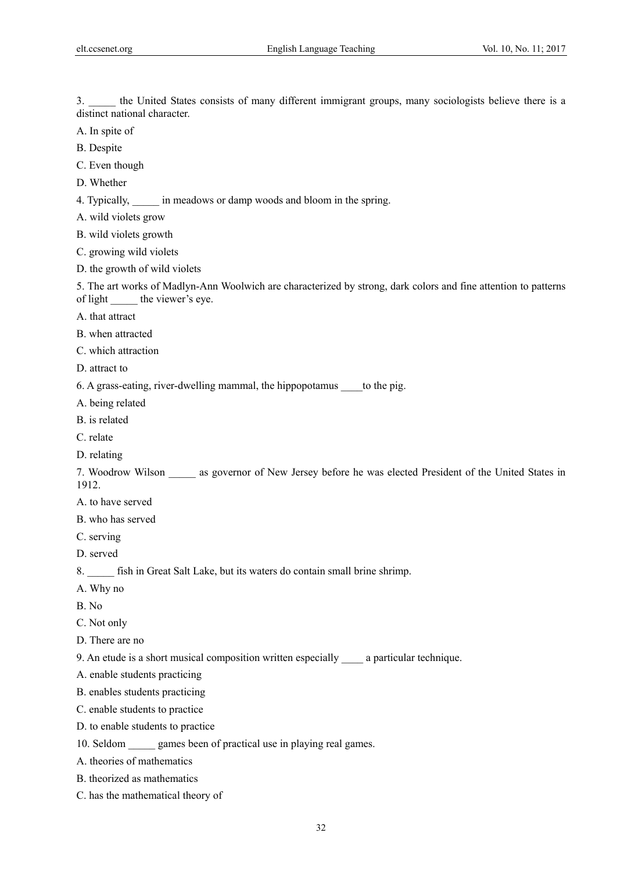3. \_\_\_\_\_ the United States consists of many different immigrant groups, many sociologists believe there is a distinct national character.

- A. In spite of
- B. Despite
- C. Even though
- D. Whether
- 4. Typically, in meadows or damp woods and bloom in the spring.
- A. wild violets grow
- B. wild violets growth
- C. growing wild violets
- D. the growth of wild violets

5. The art works of Madlyn-Ann Woolwich are characterized by strong, dark colors and fine attention to patterns of light \_\_\_\_\_ the viewer's eye.

- A. that attract
- B. when attracted
- C. which attraction
- D. attract to
- 6. A grass-eating, river-dwelling mammal, the hippopotamus to the pig.
- A. being related
- B. is related
- C. relate
- D. relating

7. Woodrow Wilson \_\_\_\_\_ as governor of New Jersey before he was elected President of the United States in 1912.

- A. to have served
- B. who has served
- C. serving
- D. served
- 8. \_\_\_\_\_ fish in Great Salt Lake, but its waters do contain small brine shrimp.
- A. Why no
- B. No
- C. Not only
- D. There are no
- 9. An etude is a short musical composition written especially \_\_\_\_ a particular technique.
- A. enable students practicing
- B. enables students practicing
- C. enable students to practice
- D. to enable students to practice
- 10. Seldom \_\_\_\_\_ games been of practical use in playing real games.
- A. theories of mathematics
- B. theorized as mathematics
- C. has the mathematical theory of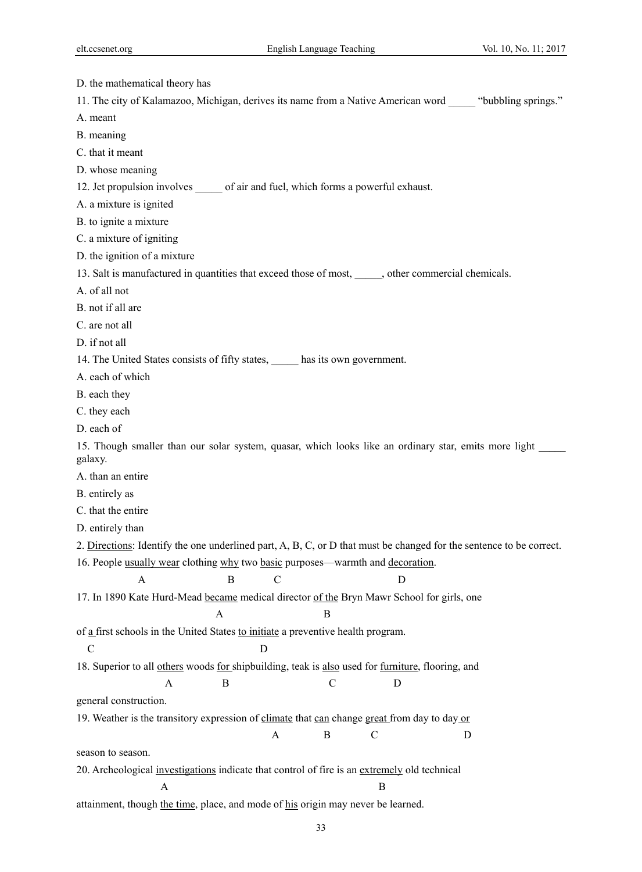D. the mathematical theory has

11. The city of Kalamazoo, Michigan, derives its name from a Native American word "bubbling springs."

A. meant

B. meaning

C. that it meant

D. whose meaning

12. Jet propulsion involves of air and fuel, which forms a powerful exhaust.

A. a mixture is ignited

B. to ignite a mixture

C. a mixture of igniting

D. the ignition of a mixture

13. Salt is manufactured in quantities that exceed those of most,  $\qquad \qquad$ , other commercial chemicals.

A. of all not

B. not if all are

C. are not all

D. if not all

14. The United States consists of fifty states, has its own government.

A. each of which

B. each they

- C. they each
- D. each of

15. Though smaller than our solar system, quasar, which looks like an ordinary star, emits more light \_\_\_\_\_ galaxy.

A. than an entire

B. entirely as

C. that the entire

D. entirely than

2. Directions: Identify the one underlined part, A, B, C, or D that must be changed for the sentence to be correct.

16. People usually wear clothing why two basic purposes—warmth and decoration.

17. In 1890 Kate Hurd-Mead became medical director of the Bryn Mawr School for girls, one

A B

of a first schools in the United States to initiate a preventive health program.

A B C D

A B C D

$$
\begin{array}{ccc}\nC & & & D\n\end{array}
$$

18. Superior to all others woods for shipbuilding, teak is also used for furniture, flooring, and

general construction.

19. Weather is the transitory expression of climate that can change great from day to day or

A B C D

season to season.

20. Archeological investigations indicate that control of fire is an extremely old technical

A B

attainment, though the time, place, and mode of his origin may never be learned.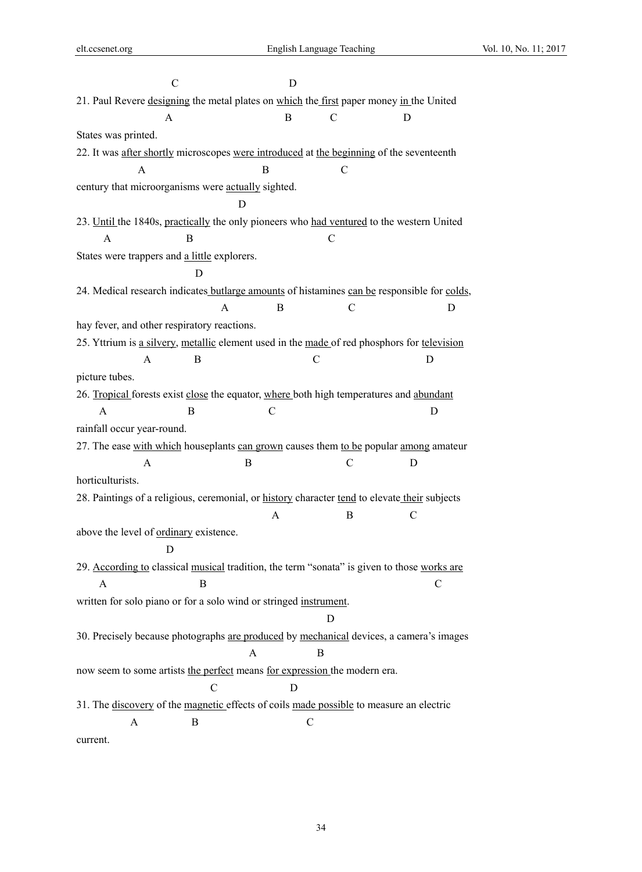C D 21. Paul Revere designing the metal plates on which the first paper money in the United A B C D States was printed. 22. It was after shortly microscopes were introduced at the beginning of the seventeenth A B C century that microorganisms were actually sighted. D 23. Until the 1840s, practically the only pioneers who had ventured to the western United A B C States were trappers and a little explorers. D 24. Medical research indicates butlarge amounts of histamines can be responsible for colds, A B C D hay fever, and other respiratory reactions. 25. Yttrium is a silvery, metallic element used in the made of red phosphors for television A B C D picture tubes. 26. Tropical forests exist close the equator, where both high temperatures and abundant A B C D rainfall occur year-round. 27. The ease with which houseplants can grown causes them to be popular among amateur A B C D horticulturists. 28. Paintings of a religious, ceremonial, or history character tend to elevate their subjects A B C above the level of ordinary existence. D 29. According to classical musical tradition, the term "sonata" is given to those works are A B C written for solo piano or for a solo wind or stringed instrument. D 30. Precisely because photographs are produced by mechanical devices, a camera's images A B now seem to some artists the perfect means for expression the modern era. C D 31. The discovery of the magnetic effects of coils made possible to measure an electric A B C current.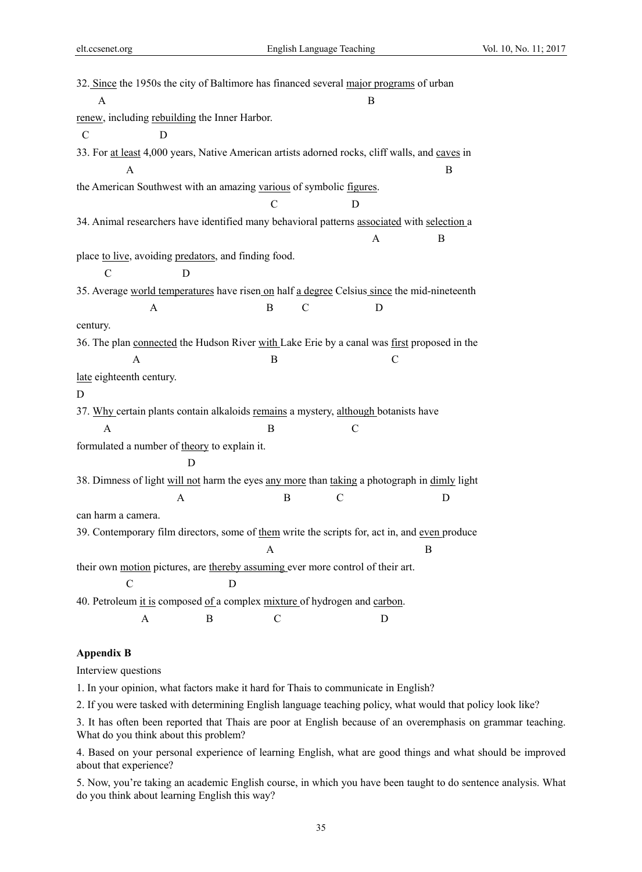| 32. Since the 1950s the city of Baltimore has financed several major programs of urban         |   |               |               |               |   |   |
|------------------------------------------------------------------------------------------------|---|---------------|---------------|---------------|---|---|
| A                                                                                              |   |               |               | B             |   |   |
| renew, including rebuilding the Inner Harbor.                                                  |   |               |               |               |   |   |
| C                                                                                              | D |               |               |               |   |   |
| 33. For at least 4,000 years, Native American artists adorned rocks, cliff walls, and caves in |   |               |               |               |   |   |
| $\mathbf{A}$                                                                                   |   |               |               |               |   | B |
| the American Southwest with an amazing various of symbolic figures.                            |   |               |               |               |   |   |
|                                                                                                |   | C             |               | D             |   |   |
| 34. Animal researchers have identified many behavioral patterns associated with selection a    |   |               |               |               |   |   |
|                                                                                                |   |               |               | A             |   | В |
| place to live, avoiding predators, and finding food.                                           |   |               |               |               |   |   |
| $\mathcal{C}$                                                                                  | D |               |               |               |   |   |
| 35. Average world temperatures have risen on half a degree Celsius since the mid-nineteenth    |   |               |               |               |   |   |
| A                                                                                              |   | B             | $\mathcal{C}$ |               | D |   |
| century.                                                                                       |   |               |               |               |   |   |
| 36. The plan connected the Hudson River with Lake Erie by a canal was first proposed in the    |   |               |               |               |   |   |
| A                                                                                              |   | B             |               |               | C |   |
| late eighteenth century.                                                                       |   |               |               |               |   |   |
| D                                                                                              |   |               |               |               |   |   |
| 37. Why certain plants contain alkaloids remains a mystery, although botanists have            |   |               |               |               |   |   |
| $\mathbf{A}$                                                                                   |   | B             |               | $\mathcal{C}$ |   |   |
| formulated a number of theory to explain it.                                                   |   |               |               |               |   |   |
|                                                                                                | D |               |               |               |   |   |
| 38. Dimness of light will not harm the eyes any more than taking a photograph in dimly light   |   |               |               |               |   |   |
|                                                                                                | А | Β             |               | C             |   | D |
| can harm a camera.                                                                             |   |               |               |               |   |   |
| 39. Contemporary film directors, some of them write the scripts for, act in, and even produce  |   |               |               |               |   |   |
|                                                                                                |   | A             |               |               |   | B |
| their own motion pictures, are thereby assuming ever more control of their art.                |   |               |               |               |   |   |
| $\mathcal{C}$                                                                                  | D |               |               |               |   |   |
| 40. Petroleum it is composed of a complex mixture of hydrogen and carbon.                      |   |               |               |               |   |   |
| $\boldsymbol{A}$                                                                               | B | $\mathcal{C}$ |               |               | D |   |

#### **Appendix B**

Interview questions

1. In your opinion, what factors make it hard for Thais to communicate in English?

2. If you were tasked with determining English language teaching policy, what would that policy look like?

3. It has often been reported that Thais are poor at English because of an overemphasis on grammar teaching. What do you think about this problem?

4. Based on your personal experience of learning English, what are good things and what should be improved about that experience?

5. Now, you're taking an academic English course, in which you have been taught to do sentence analysis. What do you think about learning English this way?